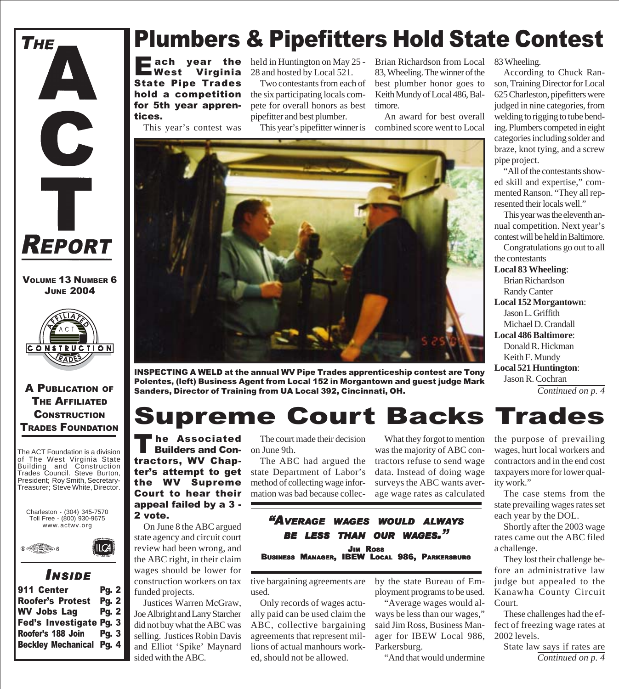

VOLUME 13 NUMBER 6 JUNE 2004



#### A PUBLICATION OF THE AFFILIATED **CONSTRUCTION** TRADES FOUNDATION

The ACT Foundation is a division of The West Virginia State Building and Construction Trades Council. Steve Burton, President; Roy Smith, Secretary-Treasurer; Steve White, Director.





### *I NSIDE*

| <b>Pg. 2</b>                    |
|---------------------------------|
| <b>Pg. 2</b>                    |
| <b>Pg. 2</b>                    |
| Fed's Investigate Pg. 3         |
| Pg.3                            |
| <b>Beckley Mechanical Pg. 4</b> |
|                                 |

### Plumbers & Pipefitters Hold State Contest

ach year the<br>West Virginia Virginia State Pipe Trades hold a competition for 5th year apprentices.

This year's contest was

held in Huntington on May 25 - 28 and hosted by Local 521.

Two contestants from each of the six participating locals compete for overall honors as best pipefitter and best plumber.

This year's pipefitter winner is

Brian Richardson from Local 83, Wheeling. The winner of the best plumber honor goes to Keith Mundy of Local 486, Baltimore.

An award for best overall combined score went to Local



INSPECTING A WELD at the annual WV Pipe Trades apprenticeship contest are Tony Polentes, (left) Business Agent from Local 152 in Morgantown and guest judge Mark Sanders, Director of Training from UA Local 392, Cincinnati, OH.

### Supreme Court Backs Trades

The Associated<br>Builders and Contractors, WV Chapter's attempt to get the WV Supreme Court to hear their appeal failed by a 3 - 2 vote.

On June 8 the ABC argued state agency and circuit court review had been wrong, and the ABC right, in their claim wages should be lower for construction workers on tax funded projects.

Justices Warren McGraw, Joe Albright and Larry Starcher did not buy what the ABC was selling. Justices Robin Davis and Elliot 'Spike' Maynard sided with the ABC.

The court made their decision on June 9th.

The ABC had argued the state Department of Labor's method of collecting wage information was bad because collec-

What they forgot to mention was the majority of ABC contractors refuse to send wage data. Instead of doing wage surveys the ABC wants average wage rates as calculated

#### *"AVERAGE WAGES WOULD ALWAYS BE LESS THAN OUR WAGES."* JIM ROSS BUSINESS MANAGER, IBEW LOCAL 986, PARKERSBURG

tive bargaining agreements are used.

Only records of wages actually paid can be used claim the ABC, collective bargaining agreements that represent millions of actual manhours worked, should not be allowed.

by the state Bureau of Employment programs to be used.

"Average wages would always be less than our wages," said Jim Ross, Business Manager for IBEW Local 986, Parkersburg.

"And that would undermine

83 Wheeling.

According to Chuck Ranson, Training Director for Local 625 Charleston, pipefitters were judged in nine categories, from welding to rigging to tube bending. Plumbers competed in eight categories including solder and braze, knot tying, and a screw pipe project.

"All of the contestants showed skill and expertise," commented Ranson. "They all represented their locals well."

This year was the eleventh annual competition. Next year's contest will be held in Baltimore.

Congratulations go out to all the contestants **Local 83 Wheeling**: Brian Richardson Randy Canter **Local 152 Morgantown**: Jason L. Griffith Michael D. Crandall **Local 486 Baltimore**: Donald R. Hickman Keith F. Mundy **Local 521 Huntington**: Jason R. Cochran

*Continued on p. 4*

the purpose of prevailing wages, hurt local workers and contractors and in the end cost taxpayers more for lower quality work."

The case stems from the state prevailing wages rates set each year by the DOL.

Shortly after the 2003 wage rates came out the ABC filed a challenge.

They lost their challenge before an administrative law judge but appealed to the Kanawha County Circuit Court.

These challenges had the effect of freezing wage rates at 2002 levels.

State law says if rates are *Continued on p. 4*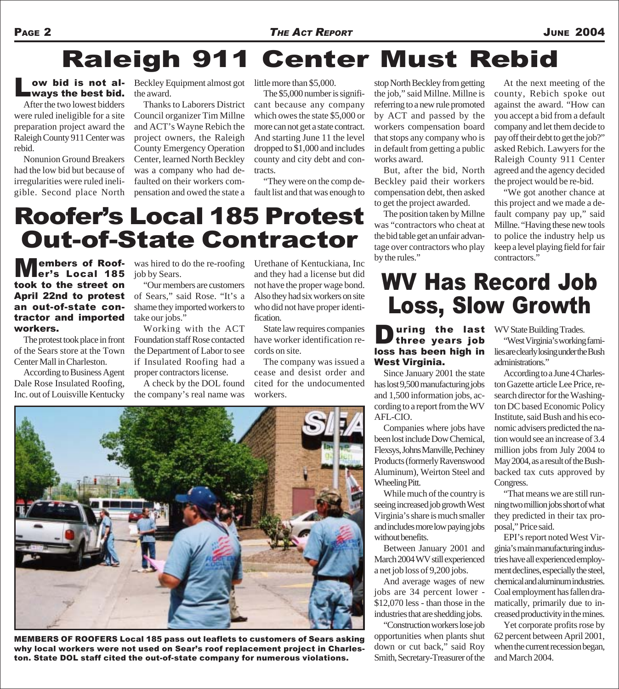## Raleigh 911 Center Must Rebid

### Low bid is not al-<br>ways the best bid.

After the two lowest bidders were ruled ineligible for a site preparation project award the Raleigh County 911 Center was rebid.

Nonunion Ground Breakers had the low bid but because of irregularities were ruled ineligible. Second place North

**ow bid is not al-** Beckley Equipment almost got the award.

> Thanks to Laborers District Council organizer Tim Millne and ACT's Wayne Rebich the project owners, the Raleigh County Emergency Operation Center, learned North Beckley was a company who had defaulted on their workers compensation and owed the state a

little more than \$5,000.

The \$5,000 number is significant because any company which owes the state \$5,000 or more can not get a state contract. And starting June 11 the level dropped to \$1,000 and includes county and city debt and contracts.

"They were on the comp default list and that was enough to

stop North Beckley from getting the job," said Millne. Millne is referring to a new rule promoted by ACT and passed by the workers compensation board that stops any company who is in default from getting a public works award.

But, after the bid, North Beckley paid their workers compensation debt, then asked to get the project awarded.

The position taken by Millne was "contractors who cheat at the bid table get an unfair advantage over contractors who play

At the next meeting of the county, Rebich spoke out against the award. "How can you accept a bid from a default company and let them decide to pay off their debt to get the job?" asked Rebich. Lawyers for the Raleigh County 911 Center agreed and the agency decided the project would be re-bid.

"We got another chance at this project and we made a default company pay up," said Millne. "Having these new tools to police the industry help us keep a level playing field for fair contractors."

### Roofer's Local 185 Protest Out-of-State Contractor

**Members of Roof-** was hired to do the re-roofing Urethane of Kentuckiana, Inc by the rules."<br>and they had a license but did er's Local 185 took to the street on April 22nd to protest an out-of-state contractor and imported workers.

The protest took place in front of the Sears store at the Town Center Mall in Charleston.

According to Business Agent Dale Rose Insulated Roofing, Inc. out of Louisville Kentucky

was hired to do the re-roofing job by Sears.

"Our members are customers of Sears," said Rose. "It's a shame they imported workers to take our jobs."

Working with the ACT Foundation staff Rose contacted the Department of Labor to see if Insulated Roofing had a proper contractors license.

A check by the DOL found the company's real name was Urethane of Kentuckiana, Inc and they had a license but did not have the proper wage bond. Also they had six workers on site who did not have proper identification.

State law requires companies have worker identification records on site.

The company was issued a cease and desist order and cited for the undocumented workers.



MEMBERS OF ROOFERS Local 185 pass out leaflets to customers of Sears asking why local workers were not used on Sear's roof replacement project in Charleston. State DOL staff cited the out-of-state company for numerous violations.

### WV Has Record Job Loss, Slow Growth

#### **During the last** WV State Building Trades.<br> **three years job** "West Virginia's working three years job loss has been high in West Virginia.

Since January 2001 the state has lost 9,500 manufacturing jobs and 1,500 information jobs, according to a report from the WV AFL-CIO.

Companies where jobs have been lost include Dow Chemical, Flexsys, Johns Manville, Pechiney Products (formerly Ravenswood Aluminum), Weirton Steel and Wheeling Pitt.

While much of the country is seeing increased job growth West Virginia's share is much smaller and includes more low paying jobs without benefits.

Between January 2001 and March 2004 WV still experienced a net job loss of 9,200 jobs.

And average wages of new jobs are 34 percent lower - \$12,070 less - than those in the industries that are shedding jobs.

"Construction workers lose job opportunities when plants shut down or cut back," said Roy Smith, Secretary-Treasurer of the

"West Virginia's working families are clearly losing under the Bush administrations."

According to a June 4 Charleston Gazette article Lee Price, research director for the Washington DC based Economic Policy Institute, said Bush and his economic advisers predicted the nation would see an increase of 3.4 million jobs from July 2004 to May 2004, as a result of the Bushbacked tax cuts approved by Congress.

"That means we are still running two million jobs short of what they predicted in their tax proposal," Price said.

EPI's report noted West Virginia's main manufacturing industries have all experienced employment declines, especially the steel, chemical and aluminum industries. Coal employment has fallen dramatically, primarily due to increased productivity in the mines.

Yet corporate profits rose by 62 percent between April 2001, when the current recession began, and March 2004.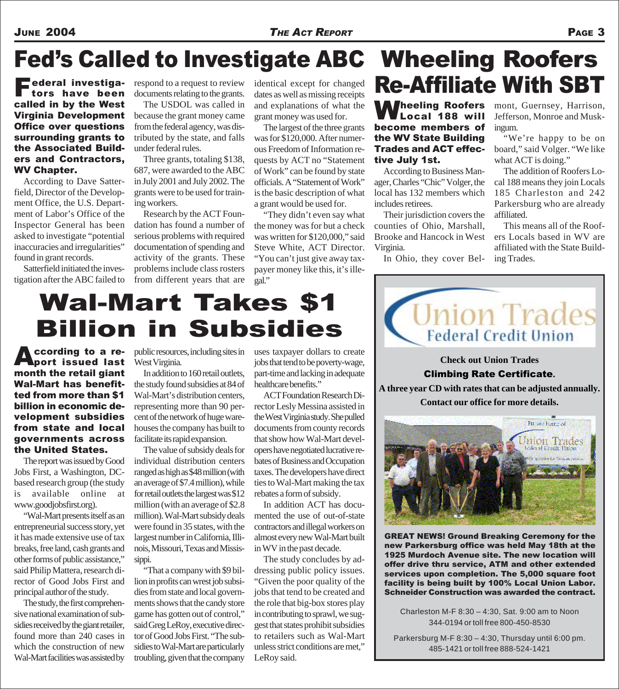#### JUNE 2004 *THE ACT REPORT* PAGE 3

## Fed's Called to Investigate ABC Wheeling Roofers

Federal investiga-tors have been called in by the West Virginia Development Office over questions surrounding grants to the Associated Builders and Contractors, WV Chapter.

According to Dave Satterfield, Director of the Development Office, the U.S. Department of Labor's Office of the Inspector General has been asked to investigate "potential inaccuracies and irregularities" found in grant records.

Satterfield initiated the investigation after the ABC failed to

**rederal investiga-** respond to a request to review documents relating to the grants.

The USDOL was called in because the grant money came from the federal agency, was distributed by the state, and falls under federal rules.

Three grants, totaling \$138, 687, were awarded to the ABC in July 2001 and July 2002. The grants were to be used for training workers.

Research by the ACT Foundation has found a number of serious problems with required documentation of spending and activity of the grants. These problems include class rosters from different years that are

identical except for changed dates as well as missing receipts and explanations of what the grant money was used for.

The largest of the three grants was for \$120,000. After numerous Freedom of Information requests by ACT no "Statement of Work" can be found by state officials. A "Statement of Work" is the basic description of what a grant would be used for.

"They didn't even say what the money was for but a check was written for \$120,000," said Steve White, ACT Director. "You can't just give away taxpayer money like this, it's illegal."

**Wheeling Roofers** mont, Guernsey, Harrison,<br>
Local 188 will Jefferson, Monroe and Musk-Local 188 will become members of the WV State Building Trades and ACT effective July 1st.

According to Business Manager, Charles "Chic" Volger, the local has 132 members which includes retirees.

Their jurisdiction covers the counties of Ohio, Marshall, Brooke and Hancock in West Virginia.

In Ohio, they cover Bel-

Jefferson, Monroe and Muskingum.

"We're happy to be on board," said Volger. "We like what ACT is doing."

The addition of Roofers Local 188 means they join Locals 185 Charleston and 242 Parkersburg who are already affiliated.

This means all of the Roofers Locals based in WV are affiliated with the State Building Trades.

## Wal-Mart Takes \$1 Billion in Subsidies

According to a remonth the retail giant Wal-Mart has benefitted from more than \$1 billion in economic development subsidies from state and local governments across the United States.

The report was issued by Good Jobs First, a Washington, DCbased research group (the study is available online at www.goodjobsfirst.org).

"Wal-Mart presents itself as an entrepreneurial success story, yet it has made extensive use of tax breaks, free land, cash grants and other forms of public assistance," said Philip Mattera, research director of Good Jobs First and principal author of the study.

The study, the first comprehensive national examination of subsidies received by the giant retailer, found more than 240 cases in which the construction of new Wal-Mart facilities was assisted by

public resources, including sites in West Virginia.

In addition to 160 retail outlets, the study found subsidies at 84 of Wal-Mart's distribution centers, representing more than 90 percent of the network of huge warehouses the company has built to facilitate its rapid expansion.

The value of subsidy deals for individual distribution centers ranged as high as \$48 million (with an average of \$7.4 million), while for retail outlets the largest was \$12 million (with an average of \$2.8 million). Wal-Mart subsidy deals were found in 35 states, with the largest number in California, Illinois, Missouri, Texas and Mississippi.

"That a company with \$9 billion in profits can wrest job subsidies from state and local governments shows that the candy store game has gotten out of control," said Greg LeRoy, executive director of Good Jobs First. "The subsidies to Wal-Mart are particularly troubling, given that the company

uses taxpayer dollars to create jobs that tend to be poverty-wage, part-time and lacking in adequate healthcare benefits."

ACT Foundation Research Director Lesly Messina assisted in the West Virginia study. She pulled documents from county records that show how Wal-Mart developers have negotiated lucrative rebates of Business and Occupation taxes. The developers have direct ties to Wal-Mart making the tax rebates a form of subsidy.

In addition ACT has documented the use of out-of-state contractors and illegal workers on almost every new Wal-Mart built in WV in the past decade.

The study concludes by addressing public policy issues. "Given the poor quality of the jobs that tend to be created and the role that big-box stores play in contributing to sprawl, we suggest that states prohibit subsidies to retailers such as Wal-Mart unless strict conditions are met," LeRoy said.



Re-Affiliate With SBT

### **Check out Union Trades** Climbing Rate Certificate**.**

**A three year CD with rates that can be adjusted annually. Contact our office for more details.**



GREAT NEWS! Ground Breaking Ceremony for the new Parkersburg office was held May 18th at the 1925 Murdoch Avenue site. The new location will offer drive thru service, ATM and other extended services upon completion. The 5,000 square foot facility is being built by 100% Local Union Labor. Schneider Construction was awarded the contract.

Charleston M-F 8:30 – 4:30, Sat. 9:00 am to Noon 344-0194 or toll free 800-450-8530

Parkersburg M-F 8:30 – 4:30, Thursday until 6:00 pm. 485-1421 or toll free 888-524-1421